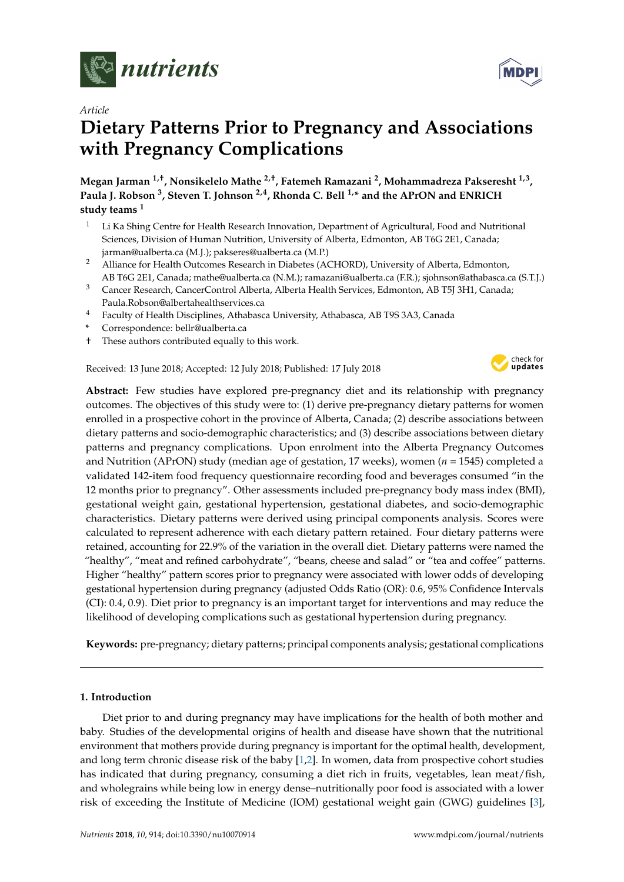

*Article*

# **Dietary Patterns Prior to Pregnancy and Associations with Pregnancy Complications**

**Megan Jarman 1,†, Nonsikelelo Mathe 2,†, Fatemeh Ramazani <sup>2</sup> , Mohammadreza Pakseresht 1,3 , Paula J. Robson <sup>3</sup> , Steven T. Johnson 2,4, Rhonda C. Bell 1,\* and the APrON and ENRICH study teams <sup>1</sup>**

- <sup>1</sup> Li Ka Shing Centre for Health Research Innovation, Department of Agricultural, Food and Nutritional Sciences, Division of Human Nutrition, University of Alberta, Edmonton, AB T6G 2E1, Canada; jarman@ualberta.ca (M.J.); pakseres@ualberta.ca (M.P.)
- <sup>2</sup> Alliance for Health Outcomes Research in Diabetes (ACHORD), University of Alberta, Edmonton, AB T6G 2E1, Canada; mathe@ualberta.ca (N.M.); ramazani@ualberta.ca (F.R.); sjohnson@athabasca.ca (S.T.J.)
- <sup>3</sup> Cancer Research, CancerControl Alberta, Alberta Health Services, Edmonton, AB T5J 3H1, Canada; Paula.Robson@albertahealthservices.ca
- <sup>4</sup> Faculty of Health Disciplines, Athabasca University, Athabasca, AB T9S 3A3, Canada
- **\*** Correspondence: bellr@ualberta.ca
- † These authors contributed equally to this work.

# Received: 13 June 2018; Accepted: 12 July 2018; Published: 17 July 2018



**Abstract:** Few studies have explored pre-pregnancy diet and its relationship with pregnancy outcomes. The objectives of this study were to: (1) derive pre-pregnancy dietary patterns for women enrolled in a prospective cohort in the province of Alberta, Canada; (2) describe associations between dietary patterns and socio-demographic characteristics; and (3) describe associations between dietary patterns and pregnancy complications. Upon enrolment into the Alberta Pregnancy Outcomes and Nutrition (APrON) study (median age of gestation, 17 weeks), women (*n* = 1545) completed a validated 142-item food frequency questionnaire recording food and beverages consumed "in the 12 months prior to pregnancy". Other assessments included pre-pregnancy body mass index (BMI), gestational weight gain, gestational hypertension, gestational diabetes, and socio-demographic characteristics. Dietary patterns were derived using principal components analysis. Scores were calculated to represent adherence with each dietary pattern retained. Four dietary patterns were retained, accounting for 22.9% of the variation in the overall diet. Dietary patterns were named the "healthy", "meat and refined carbohydrate", "beans, cheese and salad" or "tea and coffee" patterns. Higher "healthy" pattern scores prior to pregnancy were associated with lower odds of developing gestational hypertension during pregnancy (adjusted Odds Ratio (OR): 0.6, 95% Confidence Intervals (CI): 0.4, 0.9). Diet prior to pregnancy is an important target for interventions and may reduce the likelihood of developing complications such as gestational hypertension during pregnancy.

**Keywords:** pre-pregnancy; dietary patterns; principal components analysis; gestational complications

# **1. Introduction**

Diet prior to and during pregnancy may have implications for the health of both mother and baby. Studies of the developmental origins of health and disease have shown that the nutritional environment that mothers provide during pregnancy is important for the optimal health, development, and long term chronic disease risk of the baby [\[1](#page-11-0)[,2\]](#page-11-1). In women, data from prospective cohort studies has indicated that during pregnancy, consuming a diet rich in fruits, vegetables, lean meat/fish, and wholegrains while being low in energy dense–nutritionally poor food is associated with a lower risk of exceeding the Institute of Medicine (IOM) gestational weight gain (GWG) guidelines [\[3\]](#page-11-2),

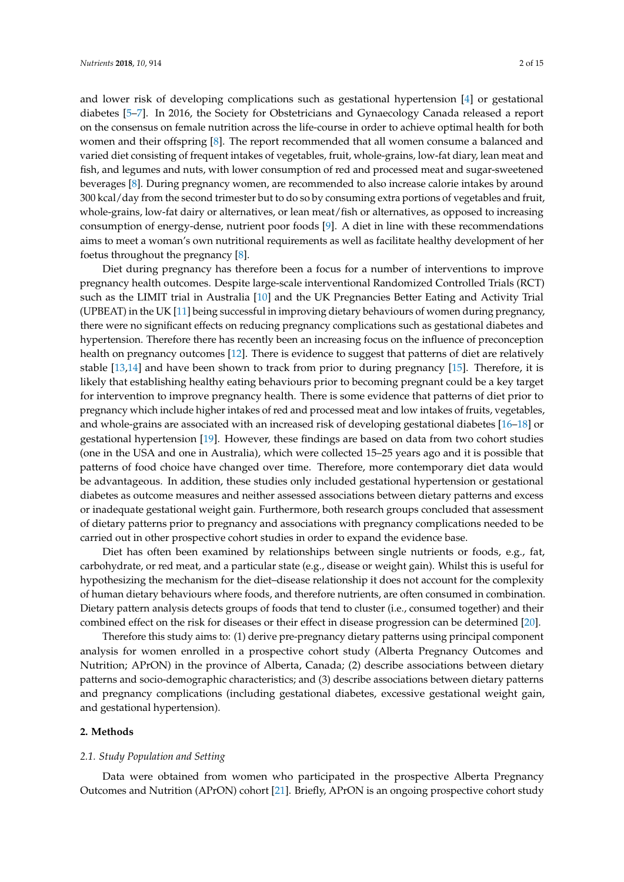and lower risk of developing complications such as gestational hypertension [\[4\]](#page-11-3) or gestational diabetes [\[5–](#page-11-4)[7\]](#page-12-0). In 2016, the Society for Obstetricians and Gynaecology Canada released a report on the consensus on female nutrition across the life-course in order to achieve optimal health for both women and their offspring [\[8\]](#page-12-1). The report recommended that all women consume a balanced and varied diet consisting of frequent intakes of vegetables, fruit, whole-grains, low-fat diary, lean meat and fish, and legumes and nuts, with lower consumption of red and processed meat and sugar-sweetened beverages [\[8\]](#page-12-1). During pregnancy women, are recommended to also increase calorie intakes by around 300 kcal/day from the second trimester but to do so by consuming extra portions of vegetables and fruit, whole-grains, low-fat dairy or alternatives, or lean meat/fish or alternatives, as opposed to increasing consumption of energy-dense, nutrient poor foods [\[9\]](#page-12-2). A diet in line with these recommendations aims to meet a woman's own nutritional requirements as well as facilitate healthy development of her foetus throughout the pregnancy [\[8\]](#page-12-1).

Diet during pregnancy has therefore been a focus for a number of interventions to improve pregnancy health outcomes. Despite large-scale interventional Randomized Controlled Trials (RCT) such as the LIMIT trial in Australia [\[10\]](#page-12-3) and the UK Pregnancies Better Eating and Activity Trial (UPBEAT) in the UK [\[11\]](#page-12-4) being successful in improving dietary behaviours of women during pregnancy, there were no significant effects on reducing pregnancy complications such as gestational diabetes and hypertension. Therefore there has recently been an increasing focus on the influence of preconception health on pregnancy outcomes [\[12\]](#page-12-5). There is evidence to suggest that patterns of diet are relatively stable [\[13](#page-12-6)[,14\]](#page-12-7) and have been shown to track from prior to during pregnancy [\[15\]](#page-12-8). Therefore, it is likely that establishing healthy eating behaviours prior to becoming pregnant could be a key target for intervention to improve pregnancy health. There is some evidence that patterns of diet prior to pregnancy which include higher intakes of red and processed meat and low intakes of fruits, vegetables, and whole-grains are associated with an increased risk of developing gestational diabetes [\[16–](#page-12-9)[18\]](#page-12-10) or gestational hypertension [\[19\]](#page-12-11). However, these findings are based on data from two cohort studies (one in the USA and one in Australia), which were collected 15–25 years ago and it is possible that patterns of food choice have changed over time. Therefore, more contemporary diet data would be advantageous. In addition, these studies only included gestational hypertension or gestational diabetes as outcome measures and neither assessed associations between dietary patterns and excess or inadequate gestational weight gain. Furthermore, both research groups concluded that assessment of dietary patterns prior to pregnancy and associations with pregnancy complications needed to be carried out in other prospective cohort studies in order to expand the evidence base.

Diet has often been examined by relationships between single nutrients or foods, e.g., fat, carbohydrate, or red meat, and a particular state (e.g., disease or weight gain). Whilst this is useful for hypothesizing the mechanism for the diet–disease relationship it does not account for the complexity of human dietary behaviours where foods, and therefore nutrients, are often consumed in combination. Dietary pattern analysis detects groups of foods that tend to cluster (i.e., consumed together) and their combined effect on the risk for diseases or their effect in disease progression can be determined [\[20\]](#page-12-12).

Therefore this study aims to: (1) derive pre-pregnancy dietary patterns using principal component analysis for women enrolled in a prospective cohort study (Alberta Pregnancy Outcomes and Nutrition; APrON) in the province of Alberta, Canada; (2) describe associations between dietary patterns and socio-demographic characteristics; and (3) describe associations between dietary patterns and pregnancy complications (including gestational diabetes, excessive gestational weight gain, and gestational hypertension).

#### **2. Methods**

#### *2.1. Study Population and Setting*

Data were obtained from women who participated in the prospective Alberta Pregnancy Outcomes and Nutrition (APrON) cohort [\[21\]](#page-12-13). Briefly, APrON is an ongoing prospective cohort study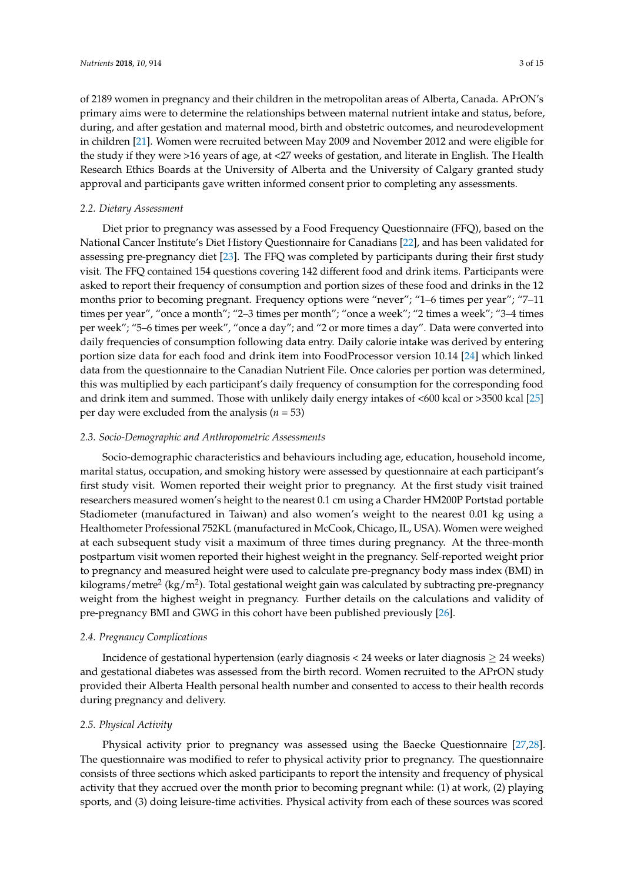of 2189 women in pregnancy and their children in the metropolitan areas of Alberta, Canada. APrON's primary aims were to determine the relationships between maternal nutrient intake and status, before, during, and after gestation and maternal mood, birth and obstetric outcomes, and neurodevelopment in children [\[21\]](#page-12-13). Women were recruited between May 2009 and November 2012 and were eligible for the study if they were >16 years of age, at <27 weeks of gestation, and literate in English. The Health Research Ethics Boards at the University of Alberta and the University of Calgary granted study approval and participants gave written informed consent prior to completing any assessments.

## *2.2. Dietary Assessment*

Diet prior to pregnancy was assessed by a Food Frequency Questionnaire (FFQ), based on the National Cancer Institute's Diet History Questionnaire for Canadians [\[22\]](#page-12-14), and has been validated for assessing pre-pregnancy diet [\[23\]](#page-12-15). The FFQ was completed by participants during their first study visit. The FFQ contained 154 questions covering 142 different food and drink items. Participants were asked to report their frequency of consumption and portion sizes of these food and drinks in the 12 months prior to becoming pregnant. Frequency options were "never"; "1–6 times per year"; "7–11 times per year", "once a month"; "2–3 times per month"; "once a week"; "2 times a week"; "3–4 times per week"; "5–6 times per week", "once a day"; and "2 or more times a day". Data were converted into daily frequencies of consumption following data entry. Daily calorie intake was derived by entering portion size data for each food and drink item into FoodProcessor version 10.14 [\[24\]](#page-12-16) which linked data from the questionnaire to the Canadian Nutrient File. Once calories per portion was determined, this was multiplied by each participant's daily frequency of consumption for the corresponding food and drink item and summed. Those with unlikely daily energy intakes of <600 kcal or >3500 kcal [\[25\]](#page-12-17) per day were excluded from the analysis (*n* = 53)

## *2.3. Socio-Demographic and Anthropometric Assessments*

Socio-demographic characteristics and behaviours including age, education, household income, marital status, occupation, and smoking history were assessed by questionnaire at each participant's first study visit. Women reported their weight prior to pregnancy. At the first study visit trained researchers measured women's height to the nearest 0.1 cm using a Charder HM200P Portstad portable Stadiometer (manufactured in Taiwan) and also women's weight to the nearest 0.01 kg using a Healthometer Professional 752KL (manufactured in McCook, Chicago, IL, USA). Women were weighed at each subsequent study visit a maximum of three times during pregnancy. At the three-month postpartum visit women reported their highest weight in the pregnancy. Self-reported weight prior to pregnancy and measured height were used to calculate pre-pregnancy body mass index (BMI) in kilograms/metre<sup>2</sup> (kg/m<sup>2</sup>). Total gestational weight gain was calculated by subtracting pre-pregnancy weight from the highest weight in pregnancy. Further details on the calculations and validity of pre-pregnancy BMI and GWG in this cohort have been published previously [\[26\]](#page-12-18).

#### *2.4. Pregnancy Complications*

Incidence of gestational hypertension (early diagnosis <  $24$  weeks or later diagnosis  $\geq 24$  weeks) and gestational diabetes was assessed from the birth record. Women recruited to the APrON study provided their Alberta Health personal health number and consented to access to their health records during pregnancy and delivery.

#### *2.5. Physical Activity*

Physical activity prior to pregnancy was assessed using the Baecke Questionnaire [\[27,](#page-12-19)[28\]](#page-13-0). The questionnaire was modified to refer to physical activity prior to pregnancy. The questionnaire consists of three sections which asked participants to report the intensity and frequency of physical activity that they accrued over the month prior to becoming pregnant while: (1) at work, (2) playing sports, and (3) doing leisure-time activities. Physical activity from each of these sources was scored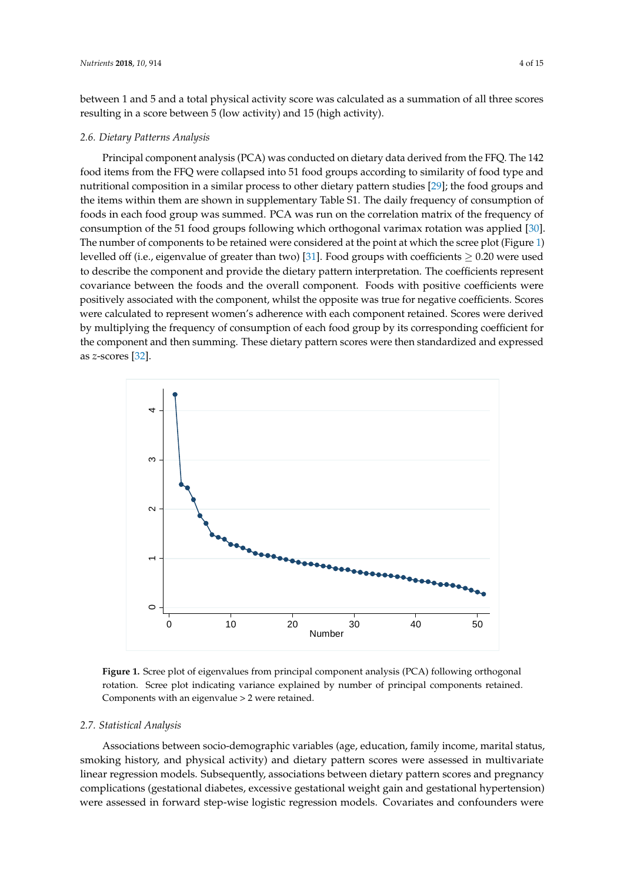between 1 and 5 and a total physical activity score was calculated as a summation of all three scores resulting in a score between 5 (low activity) and 15 (high activity).

## 2.6. Dietary Patterns Analysis

Principal component analysis (PCA) was conducted on dietary data derived from the FFQ. The 142 *2.6. Dietary Patterns Analysis* food items from the FFQ were collapsed into 51 food groups according to similarity of food type and nutritional composition in a similar process to other dietary pattern studies [\[29\]](#page-13-1); the food groups and the items within them are shown in supplementary Table S1. The daily frequency of consumption of  $\frac{1}{2}$ foods in each food group was summed. PCA was run on the correlation matrix of the frequency of consumption of the 51 food groups following which orthogonal varimax rotation was applied [\[30\]](#page-13-2). The number of components to be retained were considered at the point at which the scree plot (Figure [1\)](#page-3-0) levelled off (i.e., eigenvalue of greater than two) [\[31\]](#page-13-3). Food groups with coefficients  $\geq$  0.20 were used to describe the component and provide the dietary pattern interpretation. The coefficients represent covariance between the foods and the overall component. Foods with positive coefficients were positively associated with the component, whilst the opposite was true for negative coefficients. Scores Transference visitive methods with the component retained. Scores were derived was true member to suppresent were<br>by multiplying the frequency of consumption of each food group by its corresponding coefficient for the component and then summing. These dietary pattern scores were then standardized and expressed as *z*-scores  $[32]$ . the white and nutrition in supplementary flave 5. The daily hequency of consumption complying the requency of computer of each look gloup by its corresponding coefficient

<span id="page-3-0"></span>

**Figure 1.** Scree plot of eigenvalues from principal component analysis (PCA) following **Figure 1.** Scree plot of eigenvalues from principal component analysis (PCA) following orthogonal rotation. Scree plot indicating variance explained by number of principal components retained.  $\frac{1}{2}$  Components with an eigenvalue > 2 were retained.

## *2.7. Statistical Analysis*

Associations between socio-demographic variables (age, education, family income, marital status, smoking history, and physical activity) and dietary pattern scores were assessed in multivariate linear regression models. Subsequently, associations between dietary pattern scores and pregnancy complications (gestational diabetes, excessive gestational weight gain and gestational hypertension) were assessed in forward step-wise logistic regression models. Covariates and confounders were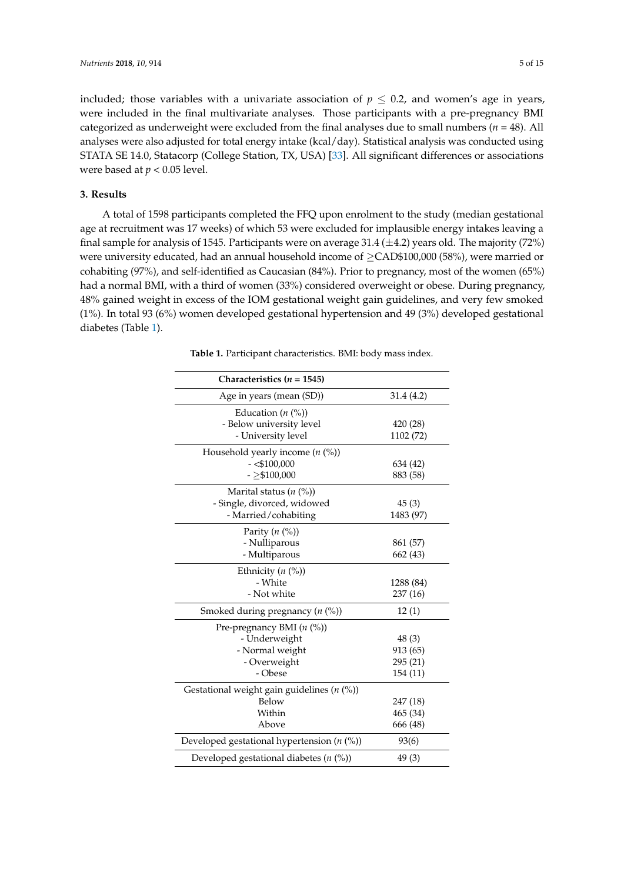included; those variables with a univariate association of  $p \leq 0.2$ , and women's age in years, were included in the final multivariate analyses. Those participants with a pre-pregnancy BMI categorized as underweight were excluded from the final analyses due to small numbers ( $n = 48$ ). All analyses were also adjusted for total energy intake (kcal/day). Statistical analysis was conducted using STATA SE 14.0, Statacorp (College Station, TX, USA) [\[33\]](#page-13-5). All significant differences or associations were based at  $p < 0.05$  level.

# **3. Results**

A total of 1598 participants completed the FFQ upon enrolment to the study (median gestational age at recruitment was 17 weeks) of which 53 were excluded for implausible energy intakes leaving a final sample for analysis of 1545. Participants were on average 31.4  $(\pm 4.2)$  years old. The majority (72%) were university educated, had an annual household income of ≥CAD\$100,000 (58%), were married or cohabiting (97%), and self-identified as Caucasian (84%). Prior to pregnancy, most of the women (65%) had a normal BMI, with a third of women (33%) considered overweight or obese. During pregnancy, 48% gained weight in excess of the IOM gestational weight gain guidelines, and very few smoked (1%). In total 93 (6%) women developed gestational hypertension and 49 (3%) developed gestational diabetes (Table [1\)](#page-4-0).

<span id="page-4-0"></span>

| Characteristics ( $n = 1545$ )                  |            |
|-------------------------------------------------|------------|
| Age in years (mean (SD))                        | 31.4 (4.2) |
| Education $(n \, 0)$                            |            |
| - Below university level                        | 420 (28)   |
| - University level                              | 1102 (72)  |
| Household yearly income $(n \, %)$              |            |
| $-$ <\$100,000                                  | 634 (42)   |
| $-2$100,000$                                    | 883 (58)   |
| Marital status $(n \ (\%))$                     |            |
| - Single, divorced, widowed                     | 45(3)      |
| - Married/cohabiting                            | 1483 (97)  |
| Parity $(n \ (\%))$                             |            |
| - Nulliparous                                   | 861 (57)   |
| - Multiparous                                   | 662 (43)   |
| Ethnicity $(n \ (\%))$                          |            |
| - White                                         | 1288 (84)  |
| - Not white                                     | 237 (16)   |
| Smoked during pregnancy $(n \, (%)$             | 12(1)      |
| Pre-pregnancy BMI $(n \ (\%)$                   |            |
| - Underweight                                   | 48(3)      |
| - Normal weight                                 | 913 (65)   |
| - Overweight                                    | 295 (21)   |
| - Obese                                         | 154 (11)   |
| Gestational weight gain guidelines ( $n$ (%))   |            |
| Below                                           | 247 (18)   |
| Within                                          | 465 (34)   |
| Above                                           | 666 (48)   |
| Developed gestational hypertension $(n \, (\%)$ | 93(6)      |
| Developed gestational diabetes ( $n$ (%))       | 49(3)      |

**Table 1.** Participant characteristics. BMI: body mass index.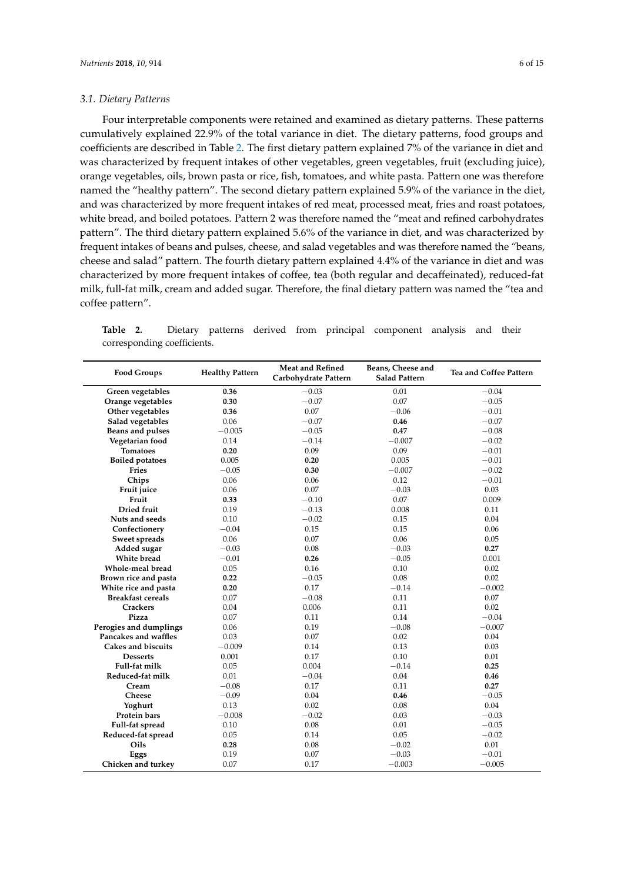#### *3.1. Dietary Patterns*

Four interpretable components were retained and examined as dietary patterns. These patterns cumulatively explained 22.9% of the total variance in diet. The dietary patterns, food groups and coefficients are described in Table [2.](#page-6-0) The first dietary pattern explained 7% of the variance in diet and was characterized by frequent intakes of other vegetables, green vegetables, fruit (excluding juice), orange vegetables, oils, brown pasta or rice, fish, tomatoes, and white pasta. Pattern one was therefore named the "healthy pattern". The second dietary pattern explained 5.9% of the variance in the diet, and was characterized by more frequent intakes of red meat, processed meat, fries and roast potatoes, white bread, and boiled potatoes. Pattern 2 was therefore named the "meat and refined carbohydrates pattern". The third dietary pattern explained 5.6% of the variance in diet, and was characterized by frequent intakes of beans and pulses, cheese, and salad vegetables and was therefore named the "beans, cheese and salad" pattern. The fourth dietary pattern explained 4.4% of the variance in diet and was characterized by more frequent intakes of coffee, tea (both regular and decaffeinated), reduced-fat milk, full-fat milk, cream and added sugar. Therefore, the final dietary pattern was named the "tea and coffee pattern".

**Table 2.** Dietary patterns derived from principal component analysis and their corresponding coefficients.

| <b>Food Groups</b>       | <b>Healthy Pattern</b> | <b>Meat and Refined</b><br>Carbohydrate Pattern | Beans, Cheese and<br><b>Salad Pattern</b> | Tea and Coffee Pattern |
|--------------------------|------------------------|-------------------------------------------------|-------------------------------------------|------------------------|
| Green vegetables         | 0.36                   | $-0.03$                                         | 0.01                                      | $-0.04$                |
| Orange vegetables        | 0.30                   | $-0.07$                                         | 0.07                                      | $-0.05$                |
| Other vegetables         | 0.36                   | 0.07                                            | $-0.06$                                   | $-0.01$                |
| Salad vegetables         | 0.06                   | $-0.07$                                         | 0.46                                      | $-0.07$                |
| Beans and pulses         | $-0.005$               | $-0.05$                                         | 0.47                                      | $-0.08$                |
| Vegetarian food          | 0.14                   | $-0.14$                                         | $-0.007$                                  | $-0.02$                |
| <b>Tomatoes</b>          | 0.20                   | 0.09                                            | 0.09                                      | $-0.01$                |
| <b>Boiled potatoes</b>   | 0.005                  | 0.20                                            | 0.005                                     | $-0.01$                |
| Fries                    | $-0.05$                | 0.30                                            | $-0.007$                                  | $-0.02$                |
| Chips                    | 0.06                   | 0.06                                            | 0.12                                      | $-0.01$                |
| Fruit juice              | 0.06                   | 0.07                                            | $-0.03$                                   | 0.03                   |
| Fruit                    | 0.33                   | $-0.10$                                         | 0.07                                      | 0.009                  |
| Dried fruit              | 0.19                   | $-0.13$                                         | 0.008                                     | 0.11                   |
| Nuts and seeds           | 0.10                   | $-0.02$                                         | 0.15                                      | 0.04                   |
| Confectionery            | $-0.04$                | 0.15                                            | 0.15                                      | 0.06                   |
| Sweet spreads            | 0.06                   | 0.07                                            | 0.06                                      | 0.05                   |
| Added sugar              | $-0.03$                | 0.08                                            | $-0.03$                                   | 0.27                   |
| White bread              | $-0.01$                | 0.26                                            | $-0.05$                                   | 0.001                  |
| Whole-meal bread         | 0.05                   | 0.16                                            | 0.10                                      | 0.02                   |
| Brown rice and pasta     | 0.22                   | $-0.05$                                         | 0.08                                      | 0.02                   |
| White rice and pasta     | 0.20                   | 0.17                                            | $-0.14$                                   | $-0.002$               |
| <b>Breakfast cereals</b> | 0.07                   | $-0.08$                                         | 0.11                                      | 0.07                   |
| <b>Crackers</b>          | 0.04                   | 0.006                                           | 0.11                                      | 0.02                   |
| Pizza                    | 0.07                   | 0.11                                            | 0.14                                      | $-0.04$                |
| Perogies and dumplings   | 0.06                   | 0.19                                            | $-0.08$                                   | $-0.007$               |
| Pancakes and waffles     | 0.03                   | 0.07                                            | 0.02                                      | 0.04                   |
| Cakes and biscuits       | $-0.009$               | 0.14                                            | 0.13                                      | 0.03                   |
| <b>Desserts</b>          | 0.001                  | 0.17                                            | 0.10                                      | 0.01                   |
| Full-fat milk            | 0.05                   | 0.004                                           | $-0.14$                                   | 0.25                   |
| Reduced-fat milk         | 0.01                   | $-0.04$                                         | 0.04                                      | 0.46                   |
| Cream                    | $-0.08$                | 0.17                                            | 0.11                                      | 0.27                   |
| <b>Cheese</b>            | $-0.09$                | 0.04                                            | 0.46                                      | $-0.05$                |
| Yoghurt                  | 0.13                   | 0.02                                            | 0.08                                      | 0.04                   |
| Protein bars             | $-0.008$               | $-0.02$                                         | 0.03                                      | $-0.03$                |
| Full-fat spread          | 0.10                   | 0.08                                            | 0.01                                      | $-0.05$                |
| Reduced-fat spread       | 0.05                   | 0.14                                            | 0.05                                      | $-0.02$                |
| Oils                     | 0.28                   | 0.08                                            | $-0.02$                                   | 0.01                   |
| Eggs                     | 0.19                   | 0.07                                            | $-0.03$                                   | $-0.01$                |
| Chicken and turkey       | 0.07                   | 0.17                                            | $-0.003$                                  | $-0.005$               |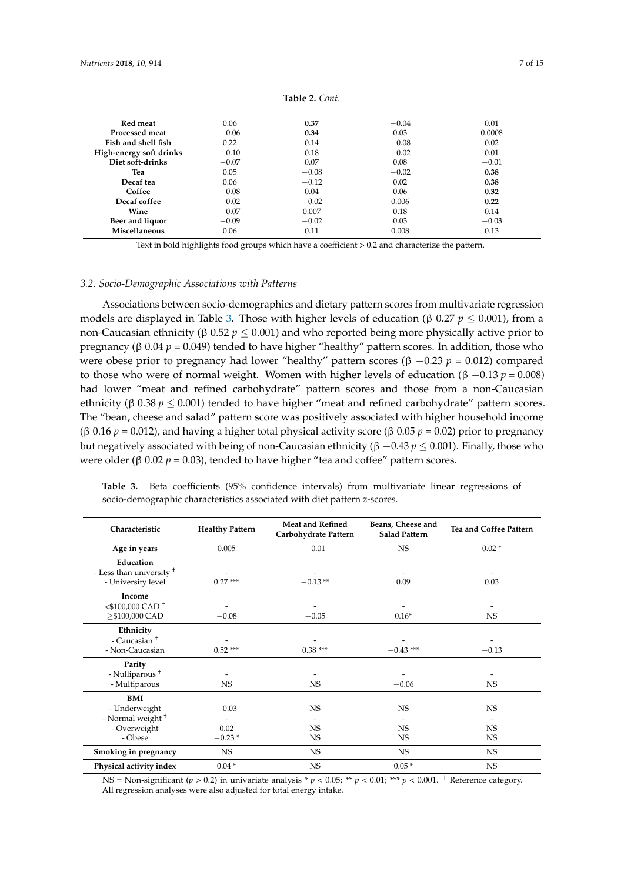<span id="page-6-0"></span>

| Red meat                | 0.06    | 0.37    | $-0.04$ | 0.01    |
|-------------------------|---------|---------|---------|---------|
| Processed meat          | $-0.06$ | 0.34    | 0.03    | 0.0008  |
| Fish and shell fish     | 0.22    | 0.14    | $-0.08$ | 0.02    |
| High-energy soft drinks | $-0.10$ | 0.18    | $-0.02$ | 0.01    |
| Diet soft-drinks        | $-0.07$ | 0.07    | 0.08    | $-0.01$ |
| Tea                     | 0.05    | $-0.08$ | $-0.02$ | 0.38    |
| Decaf tea               | 0.06    | $-0.12$ | 0.02    | 0.38    |
| Coffee                  | $-0.08$ | 0.04    | 0.06    | 0.32    |
| Decaf coffee            | $-0.02$ | $-0.02$ | 0.006   | 0.22    |
| Wine                    | $-0.07$ | 0.007   | 0.18    | 0.14    |
| Beer and liquor         | $-0.09$ | $-0.02$ | 0.03    | $-0.03$ |
| Miscellaneous           | 0.06    | 0.11    | 0.008   | 0.13    |

**Table 2.** *Cont.*

Text in bold highlights food groups which have a coefficient > 0.2 and characterize the pattern.

#### *3.2. Socio-Demographic Associations with Patterns*

Associations between socio-demographics and dietary pattern scores from multivariate regression models are displayed in Table [3.](#page-6-1) Those with higher levels of education (β 0.27 *p* ≤ 0.001), from a non-Caucasian ethnicity (β 0.52 *p* ≤ 0.001) and who reported being more physically active prior to pregnancy (β 0.04 *p* = 0.049) tended to have higher "healthy" pattern scores. In addition, those who were obese prior to pregnancy had lower "healthy" pattern scores (β −0.23 *p* = 0.012) compared to those who were of normal weight. Women with higher levels of education (β –0.13  $p = 0.008$ ) had lower "meat and refined carbohydrate" pattern scores and those from a non-Caucasian ethnicity (β 0.38  $p \le 0.001$ ) tended to have higher "meat and refined carbohydrate" pattern scores. The "bean, cheese and salad" pattern score was positively associated with higher household income (β 0.16 *p* = 0.012), and having a higher total physical activity score (β 0.05 *p* = 0.02) prior to pregnancy but negatively associated with being of non-Caucasian ethnicity (β −0.43 *p* ≤ 0.001). Finally, those who were older (β 0.02  $p = 0.03$ ), tended to have higher "tea and coffee" pattern scores.

| Characteristic                      | <b>Healthy Pattern</b> | <b>Meat and Refined</b><br>Carbohydrate Pattern | Beans, Cheese and<br><b>Salad Pattern</b> | Tea and Coffee Pattern |
|-------------------------------------|------------------------|-------------------------------------------------|-------------------------------------------|------------------------|
| Age in years                        | 0.005                  | $-0.01$                                         | NS.                                       | $0.02*$                |
| Education                           |                        |                                                 |                                           |                        |
| - Less than university <sup>+</sup> |                        |                                                 |                                           |                        |
| - University level                  | $0.27***$              | $-0.13**$                                       | 0.09                                      | 0.03                   |
| Income                              |                        |                                                 |                                           |                        |
| $<$ \$100,000 CAD <sup>+</sup>      |                        |                                                 |                                           |                        |
| >\$100,000 CAD                      | $-0.08$                | $-0.05$                                         | $0.16*$                                   | NS                     |
| Ethnicity                           |                        |                                                 |                                           |                        |
| - Caucasian <sup>+</sup>            |                        |                                                 |                                           |                        |
| - Non-Caucasian                     | $0.52***$              | $0.38***$                                       | $-0.43$ ***                               | $-0.13$                |
| Parity                              |                        |                                                 |                                           |                        |
| - Nulliparous <sup>†</sup>          |                        |                                                 |                                           |                        |
| - Multiparous                       | NS.                    | NS                                              | $-0.06$                                   | NS                     |
| <b>BMI</b>                          |                        |                                                 |                                           |                        |
| - Underweight                       | $-0.03$                | NS                                              | <b>NS</b>                                 | <b>NS</b>              |
| - Normal weight <sup>+</sup>        |                        |                                                 |                                           |                        |
| - Overweight                        | 0.02                   | NS                                              | <b>NS</b>                                 | <b>NS</b>              |
| - Obese                             | $-0.23*$               | NS.                                             | NS                                        | NS.                    |
| Smoking in pregnancy                | <b>NS</b>              | NS.                                             | NS.                                       | NS.                    |
| Physical activity index             | $0.04*$                | NS.                                             | $0.05*$                                   | <b>NS</b>              |

<span id="page-6-1"></span>**Table 3.** Beta coefficients (95% confidence intervals) from multivariate linear regressions of socio-demographic characteristics associated with diet pattern *z*-scores.

NS = Non-significant ( $p > 0.2$ ) in univariate analysis \*  $p < 0.05$ ; \*\*  $p < 0.01$ ; \*\*\*  $p < 0.001$ . <sup>+</sup> Reference category. All regression analyses were also adjusted for total energy intake.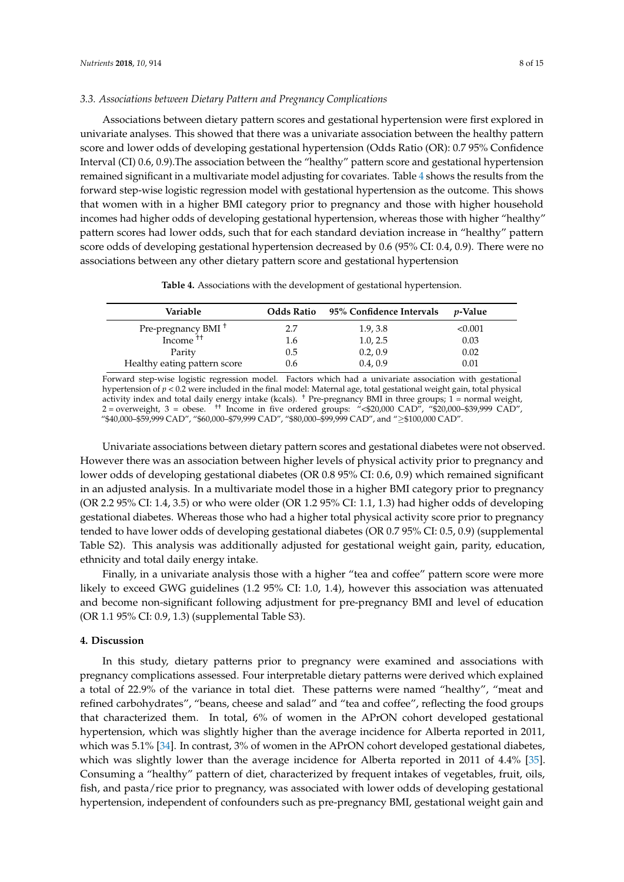## *3.3. Associations between Dietary Pattern and Pregnancy Complications*

Associations between dietary pattern scores and gestational hypertension were first explored in univariate analyses. This showed that there was a univariate association between the healthy pattern score and lower odds of developing gestational hypertension (Odds Ratio (OR): 0.7 95% Confidence Interval (CI) 0.6, 0.9).The association between the "healthy" pattern score and gestational hypertension remained significant in a multivariate model adjusting for covariates. Table [4](#page-7-0) shows the results from the forward step-wise logistic regression model with gestational hypertension as the outcome. This shows that women with in a higher BMI category prior to pregnancy and those with higher household incomes had higher odds of developing gestational hypertension, whereas those with higher "healthy" pattern scores had lower odds, such that for each standard deviation increase in "healthy" pattern score odds of developing gestational hypertension decreased by 0.6 (95% CI: 0.4, 0.9). There were no associations between any other dietary pattern score and gestational hypertension

<span id="page-7-0"></span>

| Variable                       | Odds Ratio | 95% Confidence Intervals | <i>v</i> -Value |
|--------------------------------|------------|--------------------------|-----------------|
| Pre-pregnancy BMI <sup>+</sup> | 2.7        | 1.9, 3.8                 | < 0.001         |
| Income <sup>++</sup>           | 1.6        | 1.0, 2.5                 | 0.03            |
| Parity                         | 0.5        | 0.2, 0.9                 | 0.02            |
| Healthy eating pattern score   | 0.6        | 0.4, 0.9                 | 0.01            |

Forward step-wise logistic regression model. Factors which had a univariate association with gestational hypertension of *p* < 0.2 were included in the final model: Maternal age, total gestational weight gain, total physical activity index and total daily energy intake (kcals). † Pre-pregnancy BMI in three groups; 1 = normal weight, 2 = overweight, 3 = obese. †† Income in five ordered groups: "<\$20,000 CAD", "\$20,000–\$39,999 CAD", "\$40,000–\$59,999 CAD", "\$60,000–\$79,999 CAD", "\$80,000–\$99,999 CAD", and "≥\$100,000 CAD".

Univariate associations between dietary pattern scores and gestational diabetes were not observed. However there was an association between higher levels of physical activity prior to pregnancy and lower odds of developing gestational diabetes (OR 0.8 95% CI: 0.6, 0.9) which remained significant in an adjusted analysis. In a multivariate model those in a higher BMI category prior to pregnancy (OR 2.2 95% CI: 1.4, 3.5) or who were older (OR 1.2 95% CI: 1.1, 1.3) had higher odds of developing gestational diabetes. Whereas those who had a higher total physical activity score prior to pregnancy tended to have lower odds of developing gestational diabetes (OR 0.7 95% CI: 0.5, 0.9) (supplemental Table S2). This analysis was additionally adjusted for gestational weight gain, parity, education, ethnicity and total daily energy intake.

Finally, in a univariate analysis those with a higher "tea and coffee" pattern score were more likely to exceed GWG guidelines (1.2 95% CI: 1.0, 1.4), however this association was attenuated and become non-significant following adjustment for pre-pregnancy BMI and level of education (OR 1.1 95% CI: 0.9, 1.3) (supplemental Table S3).

## **4. Discussion**

In this study, dietary patterns prior to pregnancy were examined and associations with pregnancy complications assessed. Four interpretable dietary patterns were derived which explained a total of 22.9% of the variance in total diet. These patterns were named "healthy", "meat and refined carbohydrates", "beans, cheese and salad" and "tea and coffee", reflecting the food groups that characterized them. In total, 6% of women in the APrON cohort developed gestational hypertension, which was slightly higher than the average incidence for Alberta reported in 2011, which was 5.1% [\[34\]](#page-13-6). In contrast, 3% of women in the APrON cohort developed gestational diabetes, which was slightly lower than the average incidence for Alberta reported in 2011 of 4.4% [\[35\]](#page-13-7). Consuming a "healthy" pattern of diet, characterized by frequent intakes of vegetables, fruit, oils, fish, and pasta/rice prior to pregnancy, was associated with lower odds of developing gestational hypertension, independent of confounders such as pre-pregnancy BMI, gestational weight gain and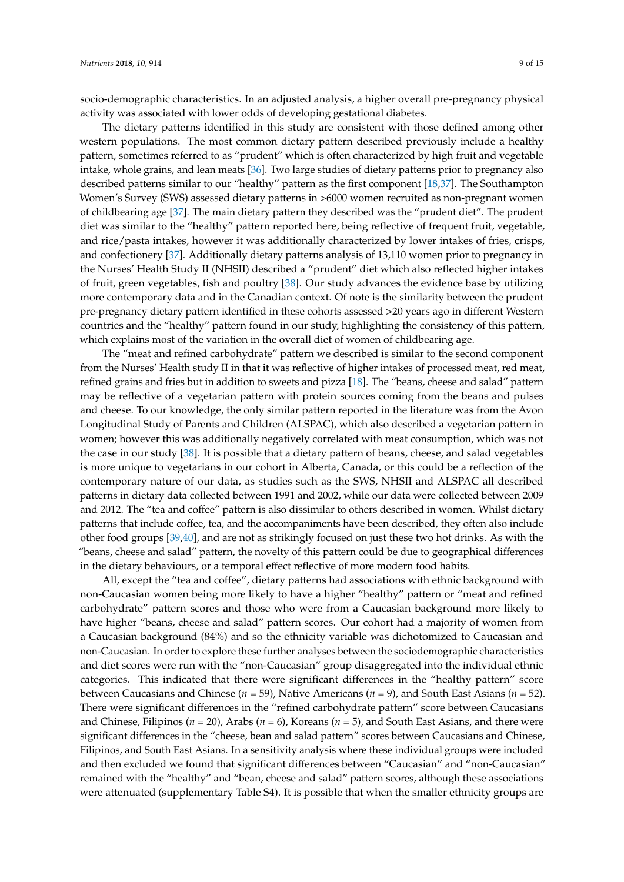socio-demographic characteristics. In an adjusted analysis, a higher overall pre-pregnancy physical activity was associated with lower odds of developing gestational diabetes.

The dietary patterns identified in this study are consistent with those defined among other western populations. The most common dietary pattern described previously include a healthy pattern, sometimes referred to as "prudent" which is often characterized by high fruit and vegetable intake, whole grains, and lean meats [\[36\]](#page-13-8). Two large studies of dietary patterns prior to pregnancy also described patterns similar to our "healthy" pattern as the first component [\[18,](#page-12-10)[37\]](#page-13-9). The Southampton Women's Survey (SWS) assessed dietary patterns in >6000 women recruited as non-pregnant women of childbearing age [\[37\]](#page-13-9). The main dietary pattern they described was the "prudent diet". The prudent diet was similar to the "healthy" pattern reported here, being reflective of frequent fruit, vegetable, and rice/pasta intakes, however it was additionally characterized by lower intakes of fries, crisps, and confectionery [\[37\]](#page-13-9). Additionally dietary patterns analysis of 13,110 women prior to pregnancy in the Nurses' Health Study II (NHSII) described a "prudent" diet which also reflected higher intakes of fruit, green vegetables, fish and poultry [\[38\]](#page-13-10). Our study advances the evidence base by utilizing more contemporary data and in the Canadian context. Of note is the similarity between the prudent pre-pregnancy dietary pattern identified in these cohorts assessed >20 years ago in different Western countries and the "healthy" pattern found in our study, highlighting the consistency of this pattern, which explains most of the variation in the overall diet of women of childbearing age.

The "meat and refined carbohydrate" pattern we described is similar to the second component from the Nurses' Health study II in that it was reflective of higher intakes of processed meat, red meat, refined grains and fries but in addition to sweets and pizza [\[18\]](#page-12-10). The "beans, cheese and salad" pattern may be reflective of a vegetarian pattern with protein sources coming from the beans and pulses and cheese. To our knowledge, the only similar pattern reported in the literature was from the Avon Longitudinal Study of Parents and Children (ALSPAC), which also described a vegetarian pattern in women; however this was additionally negatively correlated with meat consumption, which was not the case in our study [\[38\]](#page-13-10). It is possible that a dietary pattern of beans, cheese, and salad vegetables is more unique to vegetarians in our cohort in Alberta, Canada, or this could be a reflection of the contemporary nature of our data, as studies such as the SWS, NHSII and ALSPAC all described patterns in dietary data collected between 1991 and 2002, while our data were collected between 2009 and 2012. The "tea and coffee" pattern is also dissimilar to others described in women. Whilst dietary patterns that include coffee, tea, and the accompaniments have been described, they often also include other food groups [\[39,](#page-13-11)[40\]](#page-13-12), and are not as strikingly focused on just these two hot drinks. As with the "beans, cheese and salad" pattern, the novelty of this pattern could be due to geographical differences in the dietary behaviours, or a temporal effect reflective of more modern food habits.

All, except the "tea and coffee", dietary patterns had associations with ethnic background with non-Caucasian women being more likely to have a higher "healthy" pattern or "meat and refined carbohydrate" pattern scores and those who were from a Caucasian background more likely to have higher "beans, cheese and salad" pattern scores. Our cohort had a majority of women from a Caucasian background (84%) and so the ethnicity variable was dichotomized to Caucasian and non-Caucasian. In order to explore these further analyses between the sociodemographic characteristics and diet scores were run with the "non-Caucasian" group disaggregated into the individual ethnic categories. This indicated that there were significant differences in the "healthy pattern" score between Caucasians and Chinese (*n* = 59), Native Americans (*n* = 9), and South East Asians (*n* = 52). There were significant differences in the "refined carbohydrate pattern" score between Caucasians and Chinese, Filipinos (*n* = 20), Arabs (*n* = 6), Koreans (*n* = 5), and South East Asians, and there were significant differences in the "cheese, bean and salad pattern" scores between Caucasians and Chinese, Filipinos, and South East Asians. In a sensitivity analysis where these individual groups were included and then excluded we found that significant differences between "Caucasian" and "non-Caucasian" remained with the "healthy" and "bean, cheese and salad" pattern scores, although these associations were attenuated (supplementary Table S4). It is possible that when the smaller ethnicity groups are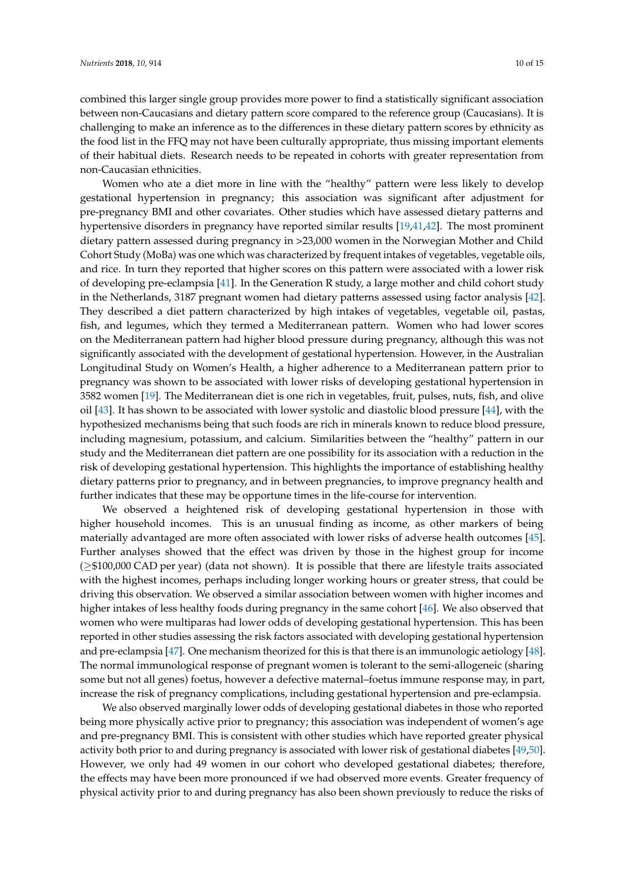combined this larger single group provides more power to find a statistically significant association between non-Caucasians and dietary pattern score compared to the reference group (Caucasians). It is challenging to make an inference as to the differences in these dietary pattern scores by ethnicity as the food list in the FFQ may not have been culturally appropriate, thus missing important elements of their habitual diets. Research needs to be repeated in cohorts with greater representation from non-Caucasian ethnicities.

Women who ate a diet more in line with the "healthy" pattern were less likely to develop gestational hypertension in pregnancy; this association was significant after adjustment for pre-pregnancy BMI and other covariates. Other studies which have assessed dietary patterns and hypertensive disorders in pregnancy have reported similar results [\[19](#page-12-11)[,41](#page-13-13)[,42\]](#page-13-14). The most prominent dietary pattern assessed during pregnancy in >23,000 women in the Norwegian Mother and Child Cohort Study (MoBa) was one which was characterized by frequent intakes of vegetables, vegetable oils, and rice. In turn they reported that higher scores on this pattern were associated with a lower risk of developing pre-eclampsia [\[41\]](#page-13-13). In the Generation R study, a large mother and child cohort study in the Netherlands, 3187 pregnant women had dietary patterns assessed using factor analysis [\[42\]](#page-13-14). They described a diet pattern characterized by high intakes of vegetables, vegetable oil, pastas, fish, and legumes, which they termed a Mediterranean pattern. Women who had lower scores on the Mediterranean pattern had higher blood pressure during pregnancy, although this was not significantly associated with the development of gestational hypertension. However, in the Australian Longitudinal Study on Women's Health, a higher adherence to a Mediterranean pattern prior to pregnancy was shown to be associated with lower risks of developing gestational hypertension in 3582 women [\[19\]](#page-12-11). The Mediterranean diet is one rich in vegetables, fruit, pulses, nuts, fish, and olive oil [\[43\]](#page-13-15). It has shown to be associated with lower systolic and diastolic blood pressure [\[44\]](#page-13-16), with the hypothesized mechanisms being that such foods are rich in minerals known to reduce blood pressure, including magnesium, potassium, and calcium. Similarities between the "healthy" pattern in our study and the Mediterranean diet pattern are one possibility for its association with a reduction in the risk of developing gestational hypertension. This highlights the importance of establishing healthy dietary patterns prior to pregnancy, and in between pregnancies, to improve pregnancy health and further indicates that these may be opportune times in the life-course for intervention.

We observed a heightened risk of developing gestational hypertension in those with higher household incomes. This is an unusual finding as income, as other markers of being materially advantaged are more often associated with lower risks of adverse health outcomes [\[45\]](#page-13-17). Further analyses showed that the effect was driven by those in the highest group for income (≥\$100,000 CAD per year) (data not shown). It is possible that there are lifestyle traits associated with the highest incomes, perhaps including longer working hours or greater stress, that could be driving this observation. We observed a similar association between women with higher incomes and higher intakes of less healthy foods during pregnancy in the same cohort [\[46\]](#page-13-18). We also observed that women who were multiparas had lower odds of developing gestational hypertension. This has been reported in other studies assessing the risk factors associated with developing gestational hypertension and pre-eclampsia [\[47\]](#page-13-19). One mechanism theorized for this is that there is an immunologic aetiology [\[48\]](#page-13-20). The normal immunological response of pregnant women is tolerant to the semi-allogeneic (sharing some but not all genes) foetus, however a defective maternal–foetus immune response may, in part, increase the risk of pregnancy complications, including gestational hypertension and pre-eclampsia.

We also observed marginally lower odds of developing gestational diabetes in those who reported being more physically active prior to pregnancy; this association was independent of women's age and pre-pregnancy BMI. This is consistent with other studies which have reported greater physical activity both prior to and during pregnancy is associated with lower risk of gestational diabetes [\[49](#page-13-21)[,50\]](#page-14-0). However, we only had 49 women in our cohort who developed gestational diabetes; therefore, the effects may have been more pronounced if we had observed more events. Greater frequency of physical activity prior to and during pregnancy has also been shown previously to reduce the risks of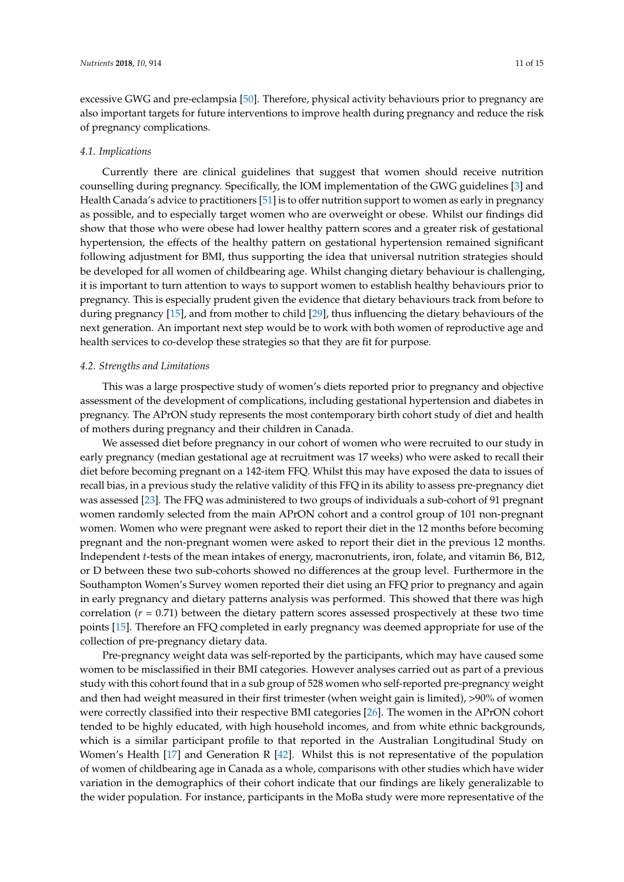excessive GWG and pre-eclampsia [\[50\]](#page-14-0). Therefore, physical activity behaviours prior to pregnancy are also important targets for future interventions to improve health during pregnancy and reduce the risk of pregnancy complications.

#### *4.1. Implications*

Currently there are clinical guidelines that suggest that women should receive nutrition counselling during pregnancy. Specifically, the IOM implementation of the GWG guidelines [\[3\]](#page-11-2) and Health Canada's advice to practitioners [\[51\]](#page-14-1) is to offer nutrition support to women as early in pregnancy as possible, and to especially target women who are overweight or obese. Whilst our findings did show that those who were obese had lower healthy pattern scores and a greater risk of gestational hypertension, the effects of the healthy pattern on gestational hypertension remained significant following adjustment for BMI, thus supporting the idea that universal nutrition strategies should be developed for all women of childbearing age. Whilst changing dietary behaviour is challenging, it is important to turn attention to ways to support women to establish healthy behaviours prior to pregnancy. This is especially prudent given the evidence that dietary behaviours track from before to during pregnancy [\[15\]](#page-12-8), and from mother to child [\[29\]](#page-13-1), thus influencing the dietary behaviours of the next generation. An important next step would be to work with both women of reproductive age and health services to co-develop these strategies so that they are fit for purpose.

#### *4.2. Strengths and Limitations*

This was a large prospective study of women's diets reported prior to pregnancy and objective assessment of the development of complications, including gestational hypertension and diabetes in pregnancy. The APrON study represents the most contemporary birth cohort study of diet and health of mothers during pregnancy and their children in Canada.

We assessed diet before pregnancy in our cohort of women who were recruited to our study in early pregnancy (median gestational age at recruitment was 17 weeks) who were asked to recall their diet before becoming pregnant on a 142-item FFQ. Whilst this may have exposed the data to issues of recall bias, in a previous study the relative validity of this FFQ in its ability to assess pre-pregnancy diet was assessed [\[23\]](#page-12-15). The FFQ was administered to two groups of individuals a sub-cohort of 91 pregnant women randomly selected from the main APrON cohort and a control group of 101 non-pregnant women. Women who were pregnant were asked to report their diet in the 12 months before becoming pregnant and the non-pregnant women were asked to report their diet in the previous 12 months. Independent *t*-tests of the mean intakes of energy, macronutrients, iron, folate, and vitamin B6, B12, or D between these two sub-cohorts showed no differences at the group level. Furthermore in the Southampton Women's Survey women reported their diet using an FFQ prior to pregnancy and again in early pregnancy and dietary patterns analysis was performed. This showed that there was high correlation  $(r = 0.71)$  between the dietary pattern scores assessed prospectively at these two time points [\[15\]](#page-12-8). Therefore an FFQ completed in early pregnancy was deemed appropriate for use of the collection of pre-pregnancy dietary data.

Pre-pregnancy weight data was self-reported by the participants, which may have caused some women to be misclassified in their BMI categories. However analyses carried out as part of a previous study with this cohort found that in a sub group of 528 women who self-reported pre-pregnancy weight and then had weight measured in their first trimester (when weight gain is limited), >90% of women were correctly classified into their respective BMI categories [\[26\]](#page-12-18). The women in the APrON cohort tended to be highly educated, with high household incomes, and from white ethnic backgrounds, which is a similar participant profile to that reported in the Australian Longitudinal Study on Women's Health [\[17\]](#page-12-20) and Generation R [\[42\]](#page-13-14). Whilst this is not representative of the population of women of childbearing age in Canada as a whole, comparisons with other studies which have wider variation in the demographics of their cohort indicate that our findings are likely generalizable to the wider population. For instance, participants in the MoBa study were more representative of the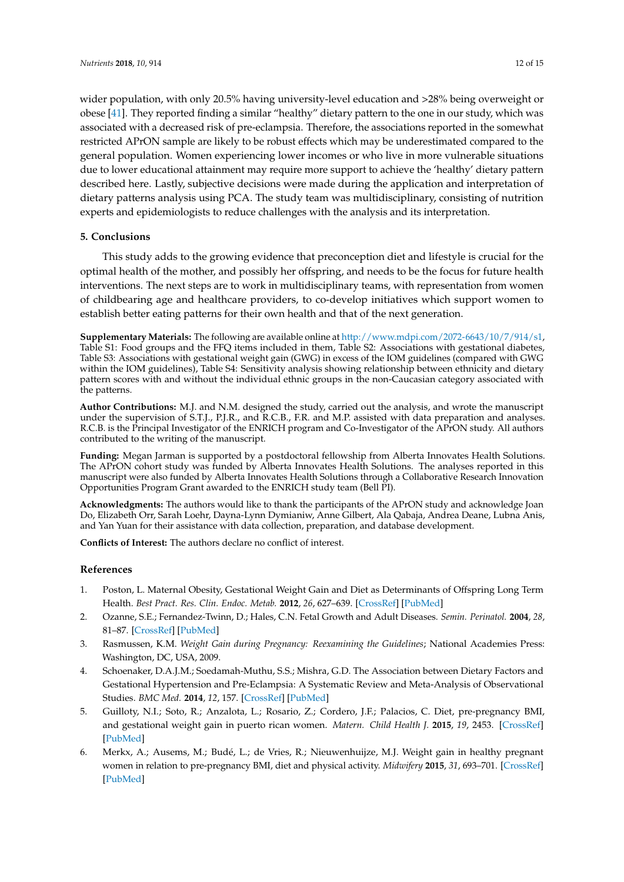wider population, with only 20.5% having university-level education and >28% being overweight or obese [\[41\]](#page-13-13). They reported finding a similar "healthy" dietary pattern to the one in our study, which was associated with a decreased risk of pre-eclampsia. Therefore, the associations reported in the somewhat restricted APrON sample are likely to be robust effects which may be underestimated compared to the general population. Women experiencing lower incomes or who live in more vulnerable situations due to lower educational attainment may require more support to achieve the 'healthy' dietary pattern described here. Lastly, subjective decisions were made during the application and interpretation of dietary patterns analysis using PCA. The study team was multidisciplinary, consisting of nutrition experts and epidemiologists to reduce challenges with the analysis and its interpretation.

# **5. Conclusions**

This study adds to the growing evidence that preconception diet and lifestyle is crucial for the optimal health of the mother, and possibly her offspring, and needs to be the focus for future health interventions. The next steps are to work in multidisciplinary teams, with representation from women of childbearing age and healthcare providers, to co-develop initiatives which support women to establish better eating patterns for their own health and that of the next generation.

**Supplementary Materials:** The following are available online at [http://www.mdpi.com/2072-6643/10/7/914/s1,](http://www.mdpi.com/2072-6643/10/7/914/s1) Table S1: Food groups and the FFQ items included in them, Table S2: Associations with gestational diabetes, Table S3: Associations with gestational weight gain (GWG) in excess of the IOM guidelines (compared with GWG within the IOM guidelines), Table S4: Sensitivity analysis showing relationship between ethnicity and dietary pattern scores with and without the individual ethnic groups in the non-Caucasian category associated with the patterns.

**Author Contributions:** M.J. and N.M. designed the study, carried out the analysis, and wrote the manuscript under the supervision of S.T.J., P.J.R., and R.C.B., F.R. and M.P. assisted with data preparation and analyses. R.C.B. is the Principal Investigator of the ENRICH program and Co-Investigator of the APrON study. All authors contributed to the writing of the manuscript.

**Funding:** Megan Jarman is supported by a postdoctoral fellowship from Alberta Innovates Health Solutions. The APrON cohort study was funded by Alberta Innovates Health Solutions. The analyses reported in this manuscript were also funded by Alberta Innovates Health Solutions through a Collaborative Research Innovation Opportunities Program Grant awarded to the ENRICH study team (Bell PI).

**Acknowledgments:** The authors would like to thank the participants of the APrON study and acknowledge Joan Do, Elizabeth Orr, Sarah Loehr, Dayna-Lynn Dymianiw, Anne Gilbert, Ala Qabaja, Andrea Deane, Lubna Anis, and Yan Yuan for their assistance with data collection, preparation, and database development.

**Conflicts of Interest:** The authors declare no conflict of interest.

# **References**

- <span id="page-11-0"></span>1. Poston, L. Maternal Obesity, Gestational Weight Gain and Diet as Determinants of Offspring Long Term Health. *Best Pract. Res. Clin. Endoc. Metab.* **2012**, *26*, 627–639. [\[CrossRef\]](http://dx.doi.org/10.1016/j.beem.2012.03.010) [\[PubMed\]](http://www.ncbi.nlm.nih.gov/pubmed/22980045)
- <span id="page-11-1"></span>2. Ozanne, S.E.; Fernandez-Twinn, D.; Hales, C.N. Fetal Growth and Adult Diseases. *Semin. Perinatol.* **2004**, *28*, 81–87. [\[CrossRef\]](http://dx.doi.org/10.1053/j.semperi.2003.10.015) [\[PubMed\]](http://www.ncbi.nlm.nih.gov/pubmed/15058905)
- <span id="page-11-2"></span>3. Rasmussen, K.M. *Weight Gain during Pregnancy: Reexamining the Guidelines*; National Academies Press: Washington, DC, USA, 2009.
- <span id="page-11-3"></span>4. Schoenaker, D.A.J.M.; Soedamah-Muthu, S.S.; Mishra, G.D. The Association between Dietary Factors and Gestational Hypertension and Pre-Eclampsia: A Systematic Review and Meta-Analysis of Observational Studies. *BMC Med.* **2014**, *12*, 157. [\[CrossRef\]](http://dx.doi.org/10.1186/s12916-014-0157-7) [\[PubMed\]](http://www.ncbi.nlm.nih.gov/pubmed/25241701)
- <span id="page-11-4"></span>5. Guilloty, N.I.; Soto, R.; Anzalota, L.; Rosario, Z.; Cordero, J.F.; Palacios, C. Diet, pre-pregnancy BMI, and gestational weight gain in puerto rican women. *Matern. Child Health J.* **2015**, *19*, 2453. [\[CrossRef\]](http://dx.doi.org/10.1007/s10995-015-1764-4) [\[PubMed\]](http://www.ncbi.nlm.nih.gov/pubmed/26100133)
- 6. Merkx, A.; Ausems, M.; Budé, L.; de Vries, R.; Nieuwenhuijze, M.J. Weight gain in healthy pregnant women in relation to pre-pregnancy BMI, diet and physical activity. *Midwifery* **2015**, *31*, 693–701. [\[CrossRef\]](http://dx.doi.org/10.1016/j.midw.2015.04.008) [\[PubMed\]](http://www.ncbi.nlm.nih.gov/pubmed/25981808)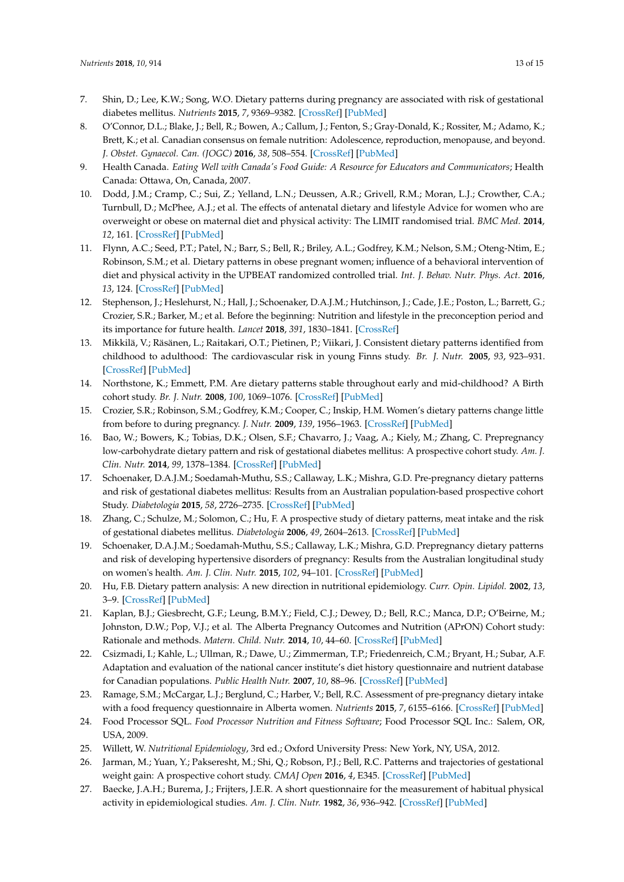- <span id="page-12-0"></span>7. Shin, D.; Lee, K.W.; Song, W.O. Dietary patterns during pregnancy are associated with risk of gestational diabetes mellitus. *Nutrients* **2015**, *7*, 9369–9382. [\[CrossRef\]](http://dx.doi.org/10.3390/nu7115472) [\[PubMed\]](http://www.ncbi.nlm.nih.gov/pubmed/26569302)
- <span id="page-12-1"></span>8. O'Connor, D.L.; Blake, J.; Bell, R.; Bowen, A.; Callum, J.; Fenton, S.; Gray-Donald, K.; Rossiter, M.; Adamo, K.; Brett, K.; et al. Canadian consensus on female nutrition: Adolescence, reproduction, menopause, and beyond. *J. Obstet. Gynaecol. Can. (JOGC)* **2016**, *38*, 508–554. [\[CrossRef\]](http://dx.doi.org/10.1016/j.jogc.2016.01.001) [\[PubMed\]](http://www.ncbi.nlm.nih.gov/pubmed/27368135)
- <span id="page-12-2"></span>9. Health Canada. *Eating Well with Canada's Food Guide: A Resource for Educators and Communicators*; Health Canada: Ottawa, On, Canada, 2007.
- <span id="page-12-3"></span>10. Dodd, J.M.; Cramp, C.; Sui, Z.; Yelland, L.N.; Deussen, A.R.; Grivell, R.M.; Moran, L.J.; Crowther, C.A.; Turnbull, D.; McPhee, A.J.; et al. The effects of antenatal dietary and lifestyle Advice for women who are overweight or obese on maternal diet and physical activity: The LIMIT randomised trial. *BMC Med.* **2014**, *12*, 161. [\[CrossRef\]](http://dx.doi.org/10.1186/s12916-014-0161-y) [\[PubMed\]](http://www.ncbi.nlm.nih.gov/pubmed/25315237)
- <span id="page-12-4"></span>11. Flynn, A.C.; Seed, P.T.; Patel, N.; Barr, S.; Bell, R.; Briley, A.L.; Godfrey, K.M.; Nelson, S.M.; Oteng-Ntim, E.; Robinson, S.M.; et al. Dietary patterns in obese pregnant women; influence of a behavioral intervention of diet and physical activity in the UPBEAT randomized controlled trial. *Int. J. Behav. Nutr. Phys. Act.* **2016**, *13*, 124. [\[CrossRef\]](http://dx.doi.org/10.1186/s12966-016-0450-2) [\[PubMed\]](http://www.ncbi.nlm.nih.gov/pubmed/27894316)
- <span id="page-12-5"></span>12. Stephenson, J.; Heslehurst, N.; Hall, J.; Schoenaker, D.A.J.M.; Hutchinson, J.; Cade, J.E.; Poston, L.; Barrett, G.; Crozier, S.R.; Barker, M.; et al. Before the beginning: Nutrition and lifestyle in the preconception period and its importance for future health. *Lancet* **2018**, *391*, 1830–1841. [\[CrossRef\]](http://dx.doi.org/10.1016/S0140-6736(18)30311-8)
- <span id="page-12-6"></span>13. Mikkilä, V.; Räsänen, L.; Raitakari, O.T.; Pietinen, P.; Viikari, J. Consistent dietary patterns identified from childhood to adulthood: The cardiovascular risk in young Finns study. *Br. J. Nutr.* **2005**, *93*, 923–931. [\[CrossRef\]](http://dx.doi.org/10.1079/BJN20051418) [\[PubMed\]](http://www.ncbi.nlm.nih.gov/pubmed/16022763)
- <span id="page-12-7"></span>14. Northstone, K.; Emmett, P.M. Are dietary patterns stable throughout early and mid-childhood? A Birth cohort study. *Br. J. Nutr.* **2008**, *100*, 1069–1076. [\[CrossRef\]](http://dx.doi.org/10.1017/S0007114508968264) [\[PubMed\]](http://www.ncbi.nlm.nih.gov/pubmed/18377690)
- <span id="page-12-8"></span>15. Crozier, S.R.; Robinson, S.M.; Godfrey, K.M.; Cooper, C.; Inskip, H.M. Women's dietary patterns change little from before to during pregnancy. *J. Nutr.* **2009**, *139*, 1956–1963. [\[CrossRef\]](http://dx.doi.org/10.3945/jn.109.109579) [\[PubMed\]](http://www.ncbi.nlm.nih.gov/pubmed/19710161)
- <span id="page-12-9"></span>16. Bao, W.; Bowers, K.; Tobias, D.K.; Olsen, S.F.; Chavarro, J.; Vaag, A.; Kiely, M.; Zhang, C. Prepregnancy low-carbohydrate dietary pattern and risk of gestational diabetes mellitus: A prospective cohort study. *Am. J. Clin. Nutr.* **2014**, *99*, 1378–1384. [\[CrossRef\]](http://dx.doi.org/10.3945/ajcn.113.082966) [\[PubMed\]](http://www.ncbi.nlm.nih.gov/pubmed/24717341)
- <span id="page-12-20"></span>17. Schoenaker, D.A.J.M.; Soedamah-Muthu, S.S.; Callaway, L.K.; Mishra, G.D. Pre-pregnancy dietary patterns and risk of gestational diabetes mellitus: Results from an Australian population-based prospective cohort Study. *Diabetologia* **2015**, *58*, 2726–2735. [\[CrossRef\]](http://dx.doi.org/10.1007/s00125-015-3742-1) [\[PubMed\]](http://www.ncbi.nlm.nih.gov/pubmed/26358582)
- <span id="page-12-10"></span>18. Zhang, C.; Schulze, M.; Solomon, C.; Hu, F. A prospective study of dietary patterns, meat intake and the risk of gestational diabetes mellitus. *Diabetologia* **2006**, *49*, 2604–2613. [\[CrossRef\]](http://dx.doi.org/10.1007/s00125-006-0422-1) [\[PubMed\]](http://www.ncbi.nlm.nih.gov/pubmed/16957814)
- <span id="page-12-11"></span>19. Schoenaker, D.A.J.M.; Soedamah-Muthu, S.S.; Callaway, L.K.; Mishra, G.D. Prepregnancy dietary patterns and risk of developing hypertensive disorders of pregnancy: Results from the Australian longitudinal study on women's health. *Am. J. Clin. Nutr.* **2015**, *102*, 94–101. [\[CrossRef\]](http://dx.doi.org/10.3945/ajcn.114.102475) [\[PubMed\]](http://www.ncbi.nlm.nih.gov/pubmed/26040639)
- <span id="page-12-12"></span>20. Hu, F.B. Dietary pattern analysis: A new direction in nutritional epidemiology. *Curr. Opin. Lipidol.* **2002**, *13*, 3–9. [\[CrossRef\]](http://dx.doi.org/10.1097/00041433-200202000-00002) [\[PubMed\]](http://www.ncbi.nlm.nih.gov/pubmed/11790957)
- <span id="page-12-13"></span>21. Kaplan, B.J.; Giesbrecht, G.F.; Leung, B.M.Y.; Field, C.J.; Dewey, D.; Bell, R.C.; Manca, D.P.; O'Beirne, M.; Johnston, D.W.; Pop, V.J.; et al. The Alberta Pregnancy Outcomes and Nutrition (APrON) Cohort study: Rationale and methods. *Matern. Child. Nutr.* **2014**, *10*, 44–60. [\[CrossRef\]](http://dx.doi.org/10.1111/j.1740-8709.2012.00433.x) [\[PubMed\]](http://www.ncbi.nlm.nih.gov/pubmed/22805165)
- <span id="page-12-14"></span>22. Csizmadi, I.; Kahle, L.; Ullman, R.; Dawe, U.; Zimmerman, T.P.; Friedenreich, C.M.; Bryant, H.; Subar, A.F. Adaptation and evaluation of the national cancer institute's diet history questionnaire and nutrient database for Canadian populations. *Public Health Nutr.* **2007**, *10*, 88–96. [\[CrossRef\]](http://dx.doi.org/10.1017/S1368980007184287) [\[PubMed\]](http://www.ncbi.nlm.nih.gov/pubmed/17212847)
- <span id="page-12-15"></span>23. Ramage, S.M.; McCargar, L.J.; Berglund, C.; Harber, V.; Bell, R.C. Assessment of pre-pregnancy dietary intake with a food frequency questionnaire in Alberta women. *Nutrients* **2015**, *7*, 6155–6166. [\[CrossRef\]](http://dx.doi.org/10.3390/nu7085277) [\[PubMed\]](http://www.ncbi.nlm.nih.gov/pubmed/26225996)
- <span id="page-12-16"></span>24. Food Processor SQL. *Food Processor Nutrition and Fitness Software*; Food Processor SQL Inc.: Salem, OR, USA, 2009.
- <span id="page-12-17"></span>25. Willett, W. *Nutritional Epidemiology*, 3rd ed.; Oxford University Press: New York, NY, USA, 2012.
- <span id="page-12-18"></span>26. Jarman, M.; Yuan, Y.; Pakseresht, M.; Shi, Q.; Robson, P.J.; Bell, R.C. Patterns and trajectories of gestational weight gain: A prospective cohort study. *CMAJ Open* **2016**, *4*, E345. [\[CrossRef\]](http://dx.doi.org/10.9778/cmajo.20150132) [\[PubMed\]](http://www.ncbi.nlm.nih.gov/pubmed/27525254)
- <span id="page-12-19"></span>27. Baecke, J.A.H.; Burema, J.; Frijters, J.E.R. A short questionnaire for the measurement of habitual physical activity in epidemiological studies. *Am. J. Clin. Nutr.* **1982**, *36*, 936–942. [\[CrossRef\]](http://dx.doi.org/10.1093/ajcn/36.5.936) [\[PubMed\]](http://www.ncbi.nlm.nih.gov/pubmed/7137077)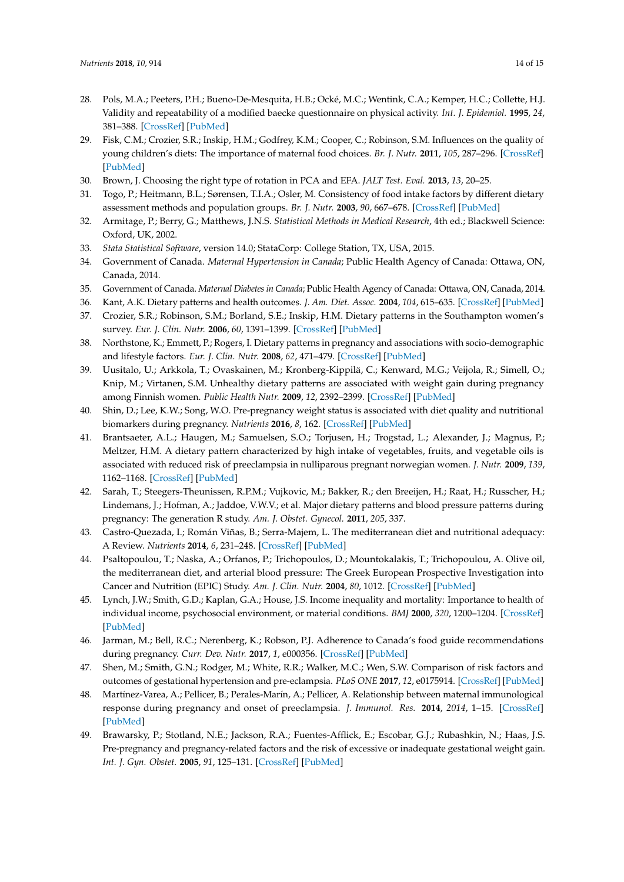- <span id="page-13-0"></span>28. Pols, M.A.; Peeters, P.H.; Bueno-De-Mesquita, H.B.; Ocké, M.C.; Wentink, C.A.; Kemper, H.C.; Collette, H.J. Validity and repeatability of a modified baecke questionnaire on physical activity. *Int. J. Epidemiol.* **1995**, *24*, 381–388. [\[CrossRef\]](http://dx.doi.org/10.1093/ije/24.2.381) [\[PubMed\]](http://www.ncbi.nlm.nih.gov/pubmed/7635600)
- <span id="page-13-1"></span>29. Fisk, C.M.; Crozier, S.R.; Inskip, H.M.; Godfrey, K.M.; Cooper, C.; Robinson, S.M. Influences on the quality of young children's diets: The importance of maternal food choices. *Br. J. Nutr.* **2011**, *105*, 287–296. [\[CrossRef\]](http://dx.doi.org/10.1017/S0007114510003302) [\[PubMed\]](http://www.ncbi.nlm.nih.gov/pubmed/20807465)
- <span id="page-13-2"></span>30. Brown, J. Choosing the right type of rotation in PCA and EFA. *JALT Test. Eval.* **2013**, *13*, 20–25.
- <span id="page-13-3"></span>31. Togo, P.; Heitmann, B.L.; Sørensen, T.I.A.; Osler, M. Consistency of food intake factors by different dietary assessment methods and population groups. *Br. J. Nutr.* **2003**, *90*, 667–678. [\[CrossRef\]](http://dx.doi.org/10.1079/BJN2003943) [\[PubMed\]](http://www.ncbi.nlm.nih.gov/pubmed/13129474)
- <span id="page-13-4"></span>32. Armitage, P.; Berry, G.; Matthews, J.N.S. *Statistical Methods in Medical Research*, 4th ed.; Blackwell Science: Oxford, UK, 2002.
- <span id="page-13-5"></span>33. *Stata Statistical Software*, version 14.0; StataCorp: College Station, TX, USA, 2015.
- <span id="page-13-6"></span>34. Government of Canada. *Maternal Hypertension in Canada*; Public Health Agency of Canada: Ottawa, ON, Canada, 2014.
- <span id="page-13-7"></span>35. Government of Canada. *Maternal Diabetes in Canada*; Public Health Agency of Canada: Ottawa, ON, Canada, 2014.
- <span id="page-13-8"></span>36. Kant, A.K. Dietary patterns and health outcomes. *J. Am. Diet. Assoc.* **2004**, *104*, 615–635. [\[CrossRef\]](http://dx.doi.org/10.1016/j.jada.2004.01.010) [\[PubMed\]](http://www.ncbi.nlm.nih.gov/pubmed/15054348)
- <span id="page-13-9"></span>37. Crozier, S.R.; Robinson, S.M.; Borland, S.E.; Inskip, H.M. Dietary patterns in the Southampton women's survey. *Eur. J. Clin. Nutr.* **2006**, *60*, 1391–1399. [\[CrossRef\]](http://dx.doi.org/10.1038/sj.ejcn.1602469) [\[PubMed\]](http://www.ncbi.nlm.nih.gov/pubmed/16804555)
- <span id="page-13-10"></span>38. Northstone, K.; Emmett, P.; Rogers, I. Dietary patterns in pregnancy and associations with socio-demographic and lifestyle factors. *Eur. J. Clin. Nutr.* **2008**, *62*, 471–479. [\[CrossRef\]](http://dx.doi.org/10.1038/sj.ejcn.1602741) [\[PubMed\]](http://www.ncbi.nlm.nih.gov/pubmed/17375108)
- <span id="page-13-11"></span>39. Uusitalo, U.; Arkkola, T.; Ovaskainen, M.; Kronberg-Kippilä, C.; Kenward, M.G.; Veijola, R.; Simell, O.; Knip, M.; Virtanen, S.M. Unhealthy dietary patterns are associated with weight gain during pregnancy among Finnish women. *Public Health Nutr.* **2009**, *12*, 2392–2399. [\[CrossRef\]](http://dx.doi.org/10.1017/S136898000900528X) [\[PubMed\]](http://www.ncbi.nlm.nih.gov/pubmed/19323867)
- <span id="page-13-12"></span>40. Shin, D.; Lee, K.W.; Song, W.O. Pre-pregnancy weight status is associated with diet quality and nutritional biomarkers during pregnancy. *Nutrients* **2016**, *8*, 162. [\[CrossRef\]](http://dx.doi.org/10.3390/nu8030162) [\[PubMed\]](http://www.ncbi.nlm.nih.gov/pubmed/26978398)
- <span id="page-13-13"></span>41. Brantsaeter, A.L.; Haugen, M.; Samuelsen, S.O.; Torjusen, H.; Trogstad, L.; Alexander, J.; Magnus, P.; Meltzer, H.M. A dietary pattern characterized by high intake of vegetables, fruits, and vegetable oils is associated with reduced risk of preeclampsia in nulliparous pregnant norwegian women. *J. Nutr.* **2009**, *139*, 1162–1168. [\[CrossRef\]](http://dx.doi.org/10.3945/jn.109.104968) [\[PubMed\]](http://www.ncbi.nlm.nih.gov/pubmed/19369368)
- <span id="page-13-14"></span>42. Sarah, T.; Steegers-Theunissen, R.P.M.; Vujkovic, M.; Bakker, R.; den Breeijen, H.; Raat, H.; Russcher, H.; Lindemans, J.; Hofman, A.; Jaddoe, V.W.V.; et al. Major dietary patterns and blood pressure patterns during pregnancy: The generation R study. *Am. J. Obstet. Gynecol.* **2011**, *205*, 337.
- <span id="page-13-15"></span>43. Castro-Quezada, I.; Román Viñas, B.; Serra-Majem, L. The mediterranean diet and nutritional adequacy: A Review. *Nutrients* **2014**, *6*, 231–248. [\[CrossRef\]](http://dx.doi.org/10.3390/nu6010231) [\[PubMed\]](http://www.ncbi.nlm.nih.gov/pubmed/24394536)
- <span id="page-13-16"></span>44. Psaltopoulou, T.; Naska, A.; Orfanos, P.; Trichopoulos, D.; Mountokalakis, T.; Trichopoulou, A. Olive oil, the mediterranean diet, and arterial blood pressure: The Greek European Prospective Investigation into Cancer and Nutrition (EPIC) Study. *Am. J. Clin. Nutr.* **2004**, *80*, 1012. [\[CrossRef\]](http://dx.doi.org/10.1093/ajcn/80.4.1012) [\[PubMed\]](http://www.ncbi.nlm.nih.gov/pubmed/15447913)
- <span id="page-13-17"></span>45. Lynch, J.W.; Smith, G.D.; Kaplan, G.A.; House, J.S. Income inequality and mortality: Importance to health of individual income, psychosocial environment, or material conditions. *BMJ* **2000**, *320*, 1200–1204. [\[CrossRef\]](http://dx.doi.org/10.1136/bmj.320.7243.1200) [\[PubMed\]](http://www.ncbi.nlm.nih.gov/pubmed/10784551)
- <span id="page-13-18"></span>46. Jarman, M.; Bell, R.C.; Nerenberg, K.; Robson, P.J. Adherence to Canada's food guide recommendations during pregnancy. *Curr. Dev. Nutr.* **2017**, *1*, e000356. [\[CrossRef\]](http://dx.doi.org/10.3945/cdn.116.000356) [\[PubMed\]](http://www.ncbi.nlm.nih.gov/pubmed/29955709)
- <span id="page-13-19"></span>47. Shen, M.; Smith, G.N.; Rodger, M.; White, R.R.; Walker, M.C.; Wen, S.W. Comparison of risk factors and outcomes of gestational hypertension and pre-eclampsia. *PLoS ONE* **2017**, *12*, e0175914. [\[CrossRef\]](http://dx.doi.org/10.1371/journal.pone.0175914) [\[PubMed\]](http://www.ncbi.nlm.nih.gov/pubmed/28437461)
- <span id="page-13-20"></span>48. Martínez-Varea, A.; Pellicer, B.; Perales-Marín, A.; Pellicer, A. Relationship between maternal immunological response during pregnancy and onset of preeclampsia. *J. Immunol. Res.* **2014**, *2014*, 1–15. [\[CrossRef\]](http://dx.doi.org/10.1155/2014/210241) [\[PubMed\]](http://www.ncbi.nlm.nih.gov/pubmed/24987708)
- <span id="page-13-21"></span>49. Brawarsky, P.; Stotland, N.E.; Jackson, R.A.; Fuentes-Afflick, E.; Escobar, G.J.; Rubashkin, N.; Haas, J.S. Pre-pregnancy and pregnancy-related factors and the risk of excessive or inadequate gestational weight gain. *Int. J. Gyn. Obstet.* **2005**, *91*, 125–131. [\[CrossRef\]](http://dx.doi.org/10.1016/j.ijgo.2005.08.008) [\[PubMed\]](http://www.ncbi.nlm.nih.gov/pubmed/16202415)